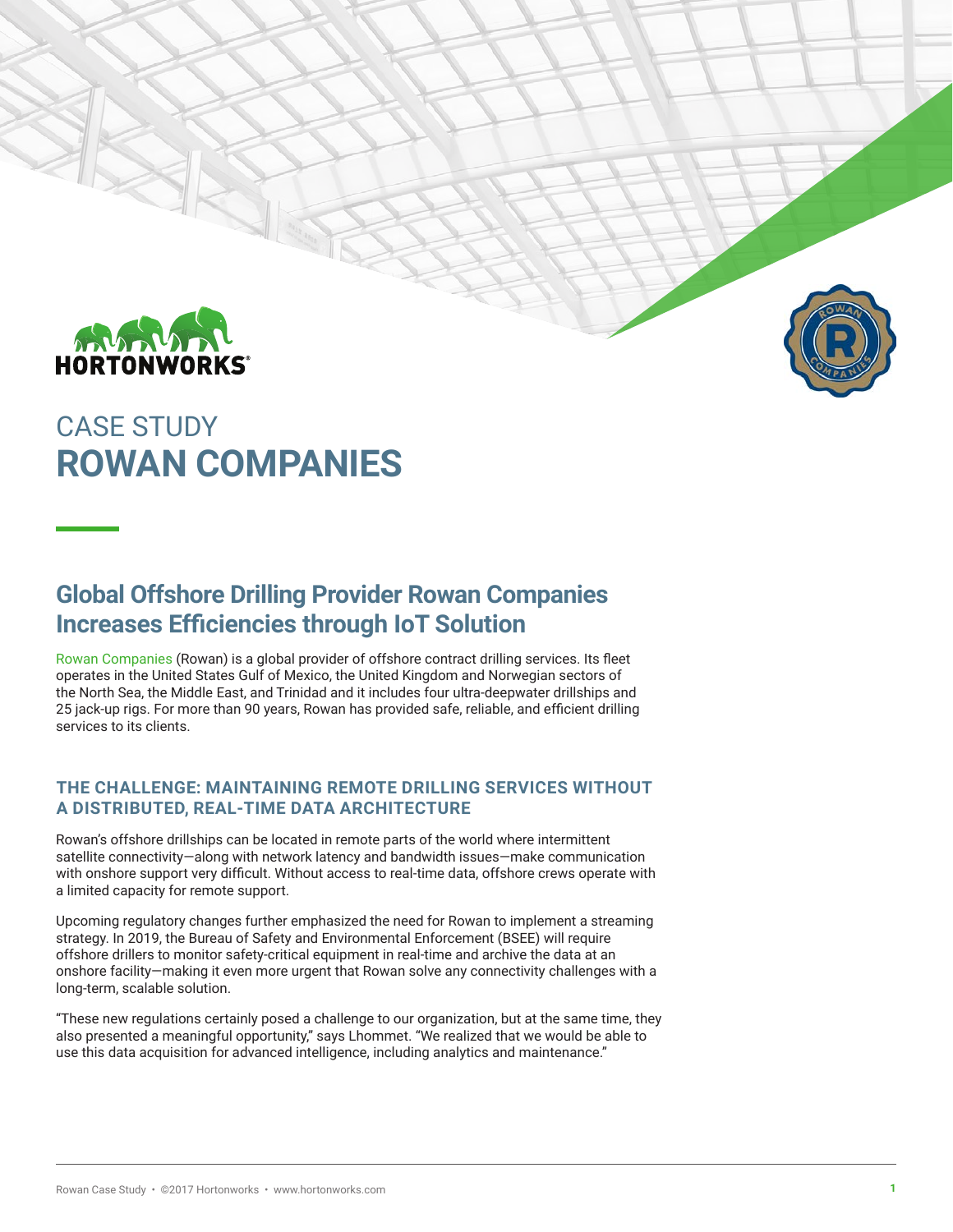

# CASE STUDY **ROWAN COMPANIES**

### **Global Offshore Drilling Provider Rowan Companies Increases Efficiencies through IoT Solution**

[Rowan Companies](http://www.rowan.com/home/default.aspx) (Rowan) is a global provider of offshore contract drilling services. Its fleet operates in the United States Gulf of Mexico, the United Kingdom and Norwegian sectors of the North Sea, the Middle East, and Trinidad and it includes four ultra-deepwater drillships and 25 jack-up rigs. For more than 90 years, Rowan has provided safe, reliable, and efficient drilling services to its clients.

#### **THE CHALLENGE: MAINTAINING REMOTE DRILLING SERVICES WITHOUT A DISTRIBUTED, REAL-TIME DATA ARCHITECTURE**

Rowan's offshore drillships can be located in remote parts of the world where intermittent satellite connectivity—along with network latency and bandwidth issues—make communication with onshore support very difficult. Without access to real-time data, offshore crews operate with a limited capacity for remote support.

Upcoming regulatory changes further emphasized the need for Rowan to implement a streaming strategy. In 2019, the Bureau of Safety and Environmental Enforcement (BSEE) will require offshore drillers to monitor safety-critical equipment in real-time and archive the data at an onshore facility—making it even more urgent that Rowan solve any connectivity challenges with a long-term, scalable solution.

"These new regulations certainly posed a challenge to our organization, but at the same time, they also presented a meaningful opportunity," says Lhommet. "We realized that we would be able to use this data acquisition for advanced intelligence, including analytics and maintenance."